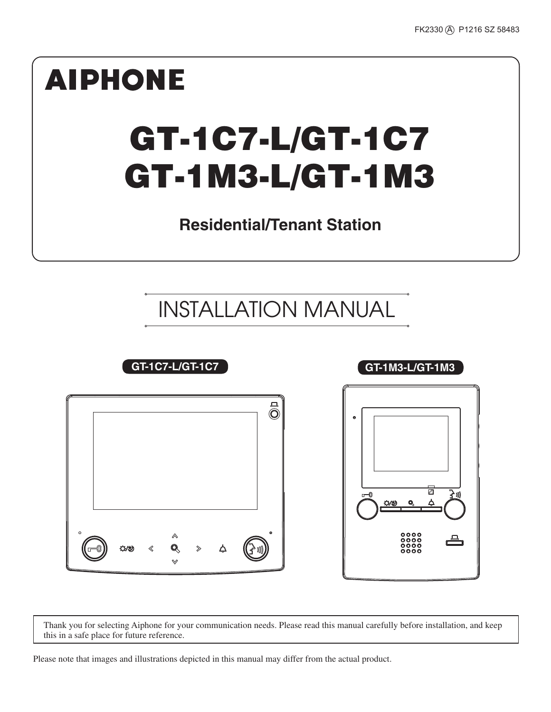

Thank you for selecting Aiphone for your communication needs. Please read this manual carefully before installation, and keep this in a safe place for future reference.

Please note that images and illustrations depicted in this manual may differ from the actual product.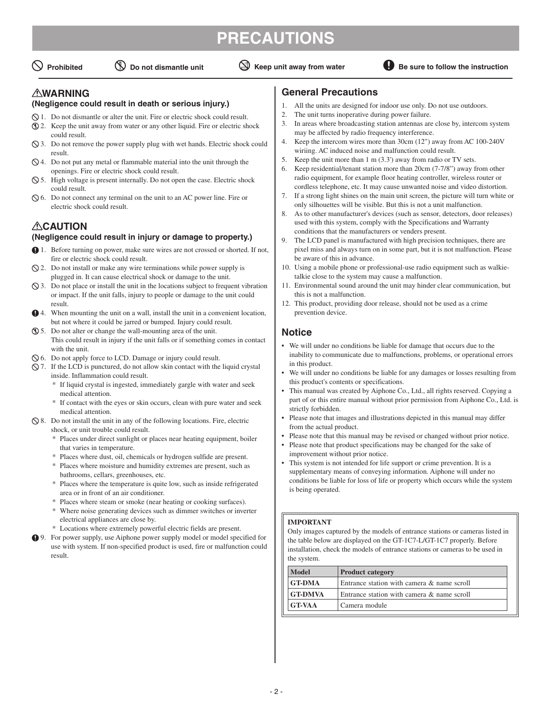## **PRECAUTIONS**



#### **WARNING**

#### **(Negligence could result in death or serious injury.)**

- 1. Do not dismantle or alter the unit. Fire or electric shock could result.
- 2. Keep the unit away from water or any other liquid. Fire or electric shock could result.
- 3. Do not remove the power supply plug with wet hands. Electric shock could result.
- 4. Do not put any metal or flammable material into the unit through the openings. Fire or electric shock could result.
- $\Diamond$  5. High voltage is present internally. Do not open the case. Electric shock could result.
- 6. Do not connect any terminal on the unit to an AC power line. Fire or electric shock could result.

#### **ACAUTION (Negligence could result in injury or damage to property.)**

- 1. Before turning on power, make sure wires are not crossed or shorted. If not, fire or electric shock could result.
- $\Diamond$  2. Do not install or make any wire terminations while power supply is plugged in. It can cause electrical shock or damage to the unit.
- $\Diamond$  3. Do not place or install the unit in the locations subject to frequent vibration or impact. If the unit falls, injury to people or damage to the unit could result.
- 4. When mounting the unit on a wall, install the unit in a convenient location, but not where it could be jarred or bumped. Injury could result.
- 5. Do not alter or change the wall-mounting area of the unit. This could result in injury if the unit falls or if something comes in contact with the unit.
- 6. Do not apply force to LCD. Damage or injury could result.
- $\Diamond$  7. If the LCD is punctured, do not allow skin contact with the liquid crystal inside. Inflammation could result.
	- \* If liquid crystal is ingested, immediately gargle with water and seek medical attention.
	- \* If contact with the eyes or skin occurs, clean with pure water and seek medical attention.
- $\Diamond$  8. Do not install the unit in any of the following locations. Fire, electric shock, or unit trouble could result.
	- \* Places under direct sunlight or places near heating equipment, boiler that varies in temperature.
	- \* Places where dust, oil, chemicals or hydrogen sulfide are present.
	- \* Places where moisture and humidity extremes are present, such as bathrooms, cellars, greenhouses, etc.
	- \* Places where the temperature is quite low, such as inside refrigerated area or in front of an air conditioner.
	- \* Places where steam or smoke (near heating or cooking surfaces).
	- \* Where noise generating devices such as dimmer switches or inverter electrical appliances are close by.
	- \* Locations where extremely powerful electric fields are present.
- 9. For power supply, use Aiphone power supply model or model specified for use with system. If non-specified product is used, fire or malfunction could result.

#### **General Precautions**

- 1. All the units are designed for indoor use only. Do not use outdoors.
- 2. The unit turns inoperative during power failure.
- 3. In areas where broadcasting station antennas are close by, intercom system may be affected by radio frequency interference. 4. Keep the intercom wires more than 30cm (12") away from AC 100-240V
- wiriing. AC induced noise and malfunction could result.
- 5. Keep the unit more than 1 m (3.3') away from radio or TV sets.
- 6. Keep residential/tenant station more than 20cm (7-7/8") away from other radio equipment, for example floor heating controller, wireless router or cordless telephone, etc. It may cause unwanted noise and video distortion.
- 7. If a strong light shines on the main unit screen, the picture will turn white or only silhouettes will be visible. But this is not a unit malfunction.
- 8. As to other manufacturer's devices (such as sensor, detectors, door releases) used with this system, comply with the Specifications and Warranty conditions that the manufacturers or venders present.
- 9. The LCD panel is manufactured with high precision techniques, there are pixel miss and always turn on in some part, but it is not malfunction. Please be aware of this in advance.
- 10. Using a mobile phone or professional-use radio equipment such as walkietalkie close to the system may cause a malfunction.
- 11. Environmental sound around the unit may hinder clear communication, but this is not a malfunction.
- 12. This product, providing door release, should not be used as a crime prevention device.

#### **Notice**

- We will under no conditions be liable for damage that occurs due to the inability to communicate due to malfunctions, problems, or operational errors in this product.
- We will under no conditions be liable for any damages or losses resulting from this product's contents or specifications.
- This manual was created by Aiphone Co., Ltd., all rights reserved. Copying a part of or this entire manual without prior permission from Aiphone Co., Ltd. is strictly forbidden.
- Please note that images and illustrations depicted in this manual may differ from the actual product.
- Please note that this manual may be revised or changed without prior notice.
- Please note that product specifications may be changed for the sake of improvement without prior notice.
- This system is not intended for life support or crime prevention. It is a supplementary means of conveying information. Aiphone will under no conditions be liable for loss of life or property which occurs while the system is being operated.

#### **IMPORTANT**

Only images captured by the models of entrance stations or cameras listed in the table below are displayed on the GT-1C7-L/GT-1C7 properly. Before installation, check the models of entrance stations or cameras to be used in the system.

| <b>Model</b>   | <b>Product category</b>                    |  |
|----------------|--------------------------------------------|--|
| <b>GT-DMA</b>  | Entrance station with camera & name scroll |  |
| <b>GT-DMVA</b> | Entrance station with camera & name scroll |  |
| <b>GT-VAA</b>  | l Camera module                            |  |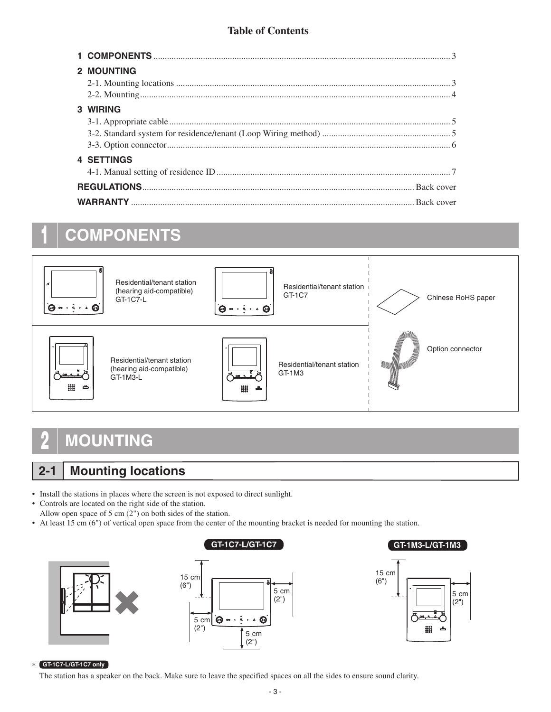#### **Table of Contents**

| <b>2 MOUNTING</b> |
|-------------------|
| 3 WIRING          |
| <b>4 SETTINGS</b> |
|                   |
|                   |

# **1 COMPONENTS**



## **2 MOUNTING**

### **2-1 Mounting locations**

- Install the stations in places where the screen is not exposed to direct sunlight.
- Controls are located on the right side of the station. Allow open space of 5 cm (2") on both sides of the station.
- At least 15 cm (6") of vertical open space from the center of the mounting bracket is needed for mounting the station.







#### \* **GT-1C7-L/GT-1C7 only**

The station has a speaker on the back. Make sure to leave the specified spaces on all the sides to ensure sound clarity.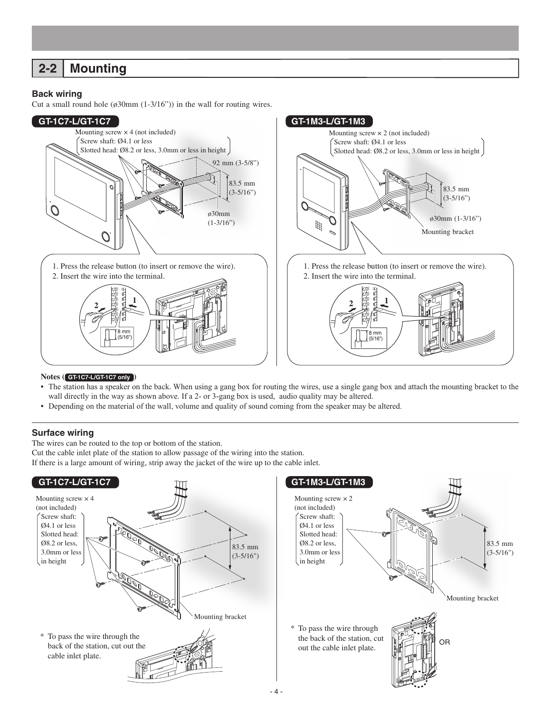### **2-2 Mounting**

#### **Back wiring**

Cut a small round hole  $(630 \text{mm } (1-3/16))$  in the wall for routing wires.



#### **Notes ( GT-1C7-L/GT-1C7 only )**

- The station has a speaker on the back. When using a gang box for routing the wires, use a single gang box and attach the mounting bracket to the wall directly in the way as shown above. If a 2- or 3-gang box is used, audio quality may be altered.
- Depending on the material of the wall, volume and quality of sound coming from the speaker may be altered.

#### **Surface wiring**

The wires can be routed to the top or bottom of the station.

Cut the cable inlet plate of the station to allow passage of the wiring into the station.

If there is a large amount of wiring, strip away the jacket of the wire up to the cable inlet.

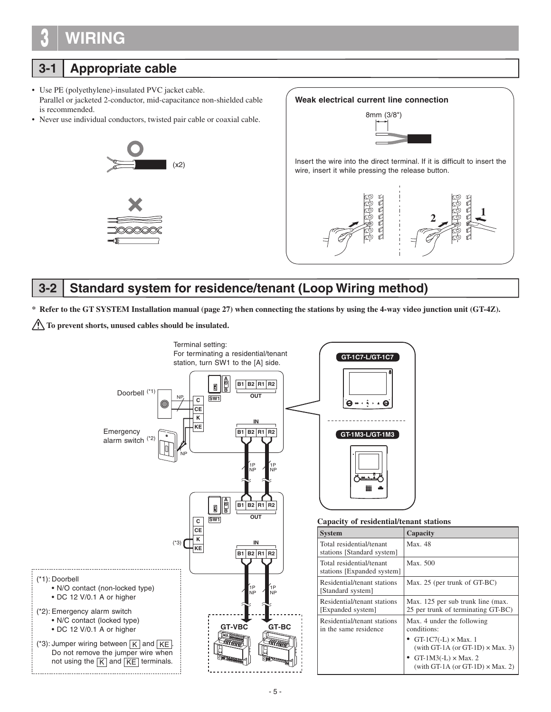# **3 WIRING**

## **3-1 Appropriate cable**

- Use PE (polyethylene)-insulated PVC jacket cable. Parallel or jacketed 2-conductor, mid-capacitance non-shielded cable is recommended.
- Never use individual conductors, twisted pair cable or coaxial cable.





### **3-2 Standard system for residence/tenant (Loop Wiring method)**

**\* Refer to the GT SYSTEM Installation manual (page 27) when connecting the stations by using the 4-way video junction unit (GT-4Z).**

**To prevent shorts, unused cables should be insulated.** 

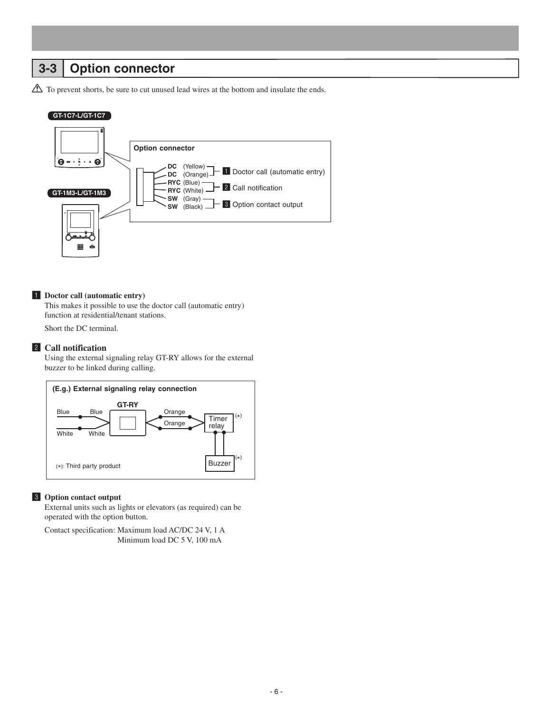### **3-3 Option connector**

 $\triangle$  To prevent shorts, be sure to cut unused lead wires at the bottom and insulate the ends.

#### **GT-1C7-L/GT-1C7**



#### 1 **Doctor call (automatic entry)**

This makes it possible to use the doctor call (automatic entry) function at residential/tenant stations.

Short the DC terminal.

#### 2 **Call notification**

Using the external signaling relay GT-RY allows for the external buzzer to be linked during calling.



#### 3 **Option contact output**

External units such as lights or elevators (as required) can be operated with the option button.

Contact specification: Maximum load AC/DC 24 V, 1 A Minimum load DC 5 V, 100 mA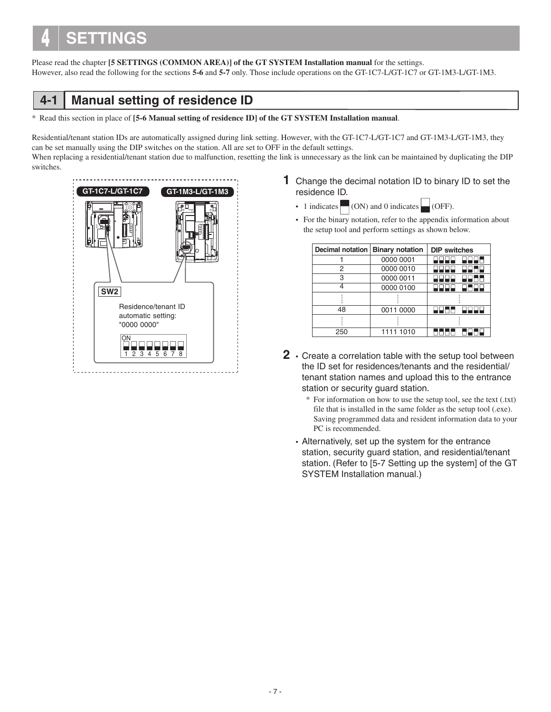# **4 SETTINGS**

Please read the chapter **[5 SETTINGS (COMMON AREA)] of the GT SYSTEM Installation manual** for the settings. However, also read the following for the sections **5-6** and **5-7** only. Those include operations on the GT-1C7-L/GT-1C7 or GT-1M3-L/GT-1M3.



\* Read this section in place of **[5-6 Manual setting of residence ID] of the GT SYSTEM Installation manual**.

Residential/tenant station IDs are automatically assigned during link setting. However, with the GT-1C7-L/GT-1C7 and GT-1M3-L/GT-1M3, they can be set manually using the DIP switches on the station. All are set to OFF in the default settings. When replacing a residential/tenant station due to malfunction, resetting the link is unnecessary as the link can be maintained by duplicating the DIP switches.



- **1** Change the decimal notation ID to binary ID to set the residence ID.
	- 1 indicates  $\Box$  (ON) and 0 indicates  $\Box$  (OFF).
	- For the binary notation, refer to the appendix information about the setup tool and perform settings as shown below.

| Decimal notation   Binary notation |           | <b>DIP</b> switches |  |  |  |
|------------------------------------|-----------|---------------------|--|--|--|
|                                    | 0000 0001 |                     |  |  |  |
| 2                                  | 0000 0010 |                     |  |  |  |
| 3                                  | 0000 0011 |                     |  |  |  |
|                                    | 0000 0100 |                     |  |  |  |
|                                    |           |                     |  |  |  |
| 48                                 | 0011 0000 |                     |  |  |  |
|                                    |           |                     |  |  |  |
| 250                                | 1111 1010 |                     |  |  |  |

- **2** Create a correlation table with the setup tool between the ID set for residences/tenants and the residential/ tenant station names and upload this to the entrance station or security guard station.
	- \* For information on how to use the setup tool, see the text (.txt) file that is installed in the same folder as the setup tool (.exe). Saving programmed data and resident information data to your PC is recommended.
	- Alternatively, set up the system for the entrance station, security guard station, and residential/tenant station. (Refer to [5-7 Setting up the system] of the GT SYSTEM Installation manual.)